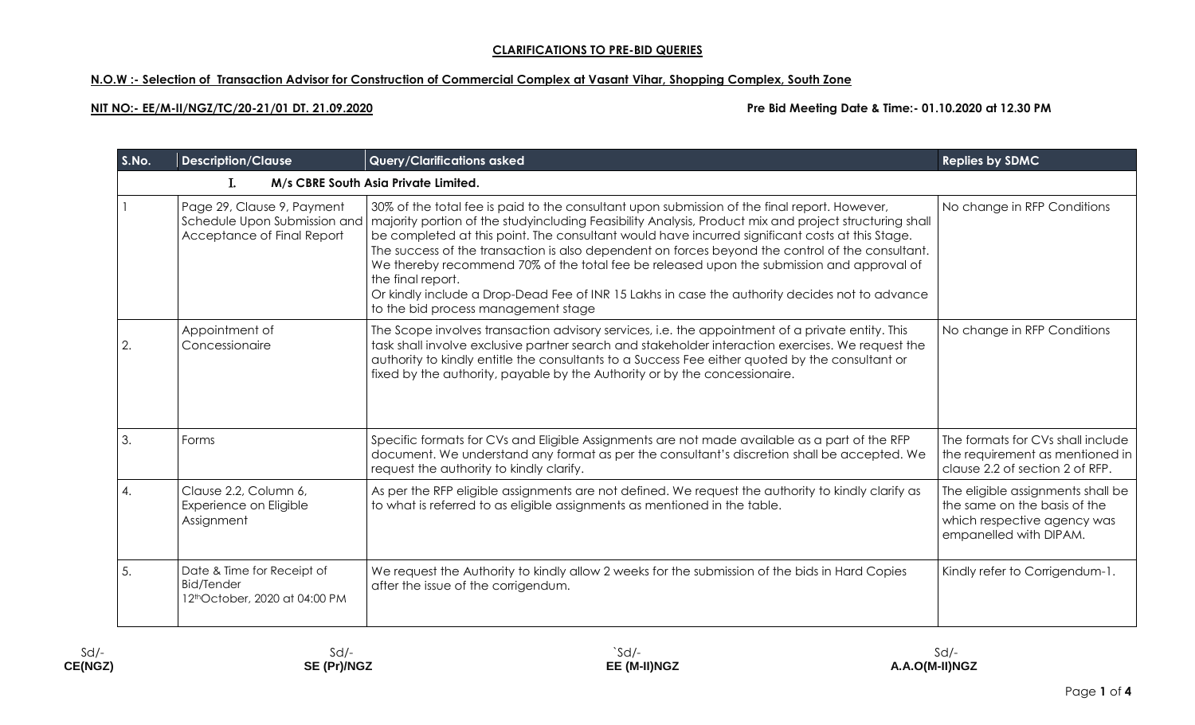# **N.O.W :- Selection of Transaction Advisor for Construction of Commercial Complex at Vasant Vihar, Shopping Complex, South Zone**

**NIT NO:- EE/M-II/NGZ/TC/20-21/01 DT. 21.09.2020 Pre Bid Meeting Date & Time:- 01.10.2020 at 12.30 PM**

| S.No.                                      | <b>Description/Clause</b>                                                                | <b>Query/Clarifications asked</b>                                                                                                                                                                                                                                                                                                                                                                                                                                                                                                                                                                                                                                        | <b>Replies by SDMC</b>                                                                                                     |  |  |
|--------------------------------------------|------------------------------------------------------------------------------------------|--------------------------------------------------------------------------------------------------------------------------------------------------------------------------------------------------------------------------------------------------------------------------------------------------------------------------------------------------------------------------------------------------------------------------------------------------------------------------------------------------------------------------------------------------------------------------------------------------------------------------------------------------------------------------|----------------------------------------------------------------------------------------------------------------------------|--|--|
| M/s CBRE South Asia Private Limited.<br>L. |                                                                                          |                                                                                                                                                                                                                                                                                                                                                                                                                                                                                                                                                                                                                                                                          |                                                                                                                            |  |  |
|                                            | Page 29, Clause 9, Payment<br>Schedule Upon Submission and<br>Acceptance of Final Report | 30% of the total fee is paid to the consultant upon submission of the final report. However,<br>majority portion of the studyincluding Feasibility Analysis, Product mix and project structuring shall<br>be completed at this point. The consultant would have incurred significant costs at this Stage.<br>The success of the transaction is also dependent on forces beyond the control of the consultant.<br>We thereby recommend 70% of the total fee be released upon the submission and approval of<br>the final report.<br>Or kindly include a Drop-Dead Fee of INR 15 Lakhs in case the authority decides not to advance<br>to the bid process management stage | No change in RFP Conditions                                                                                                |  |  |
| 2.                                         | Appointment of<br>Concessionaire                                                         | The Scope involves transaction advisory services, i.e. the appointment of a private entity. This<br>task shall involve exclusive partner search and stakeholder interaction exercises. We request the<br>authority to kindly entitle the consultants to a Success Fee either quoted by the consultant or<br>fixed by the authority, payable by the Authority or by the concessionaire.                                                                                                                                                                                                                                                                                   | No change in RFP Conditions                                                                                                |  |  |
| 3.                                         | Forms                                                                                    | Specific formats for CVs and Eligible Assignments are not made available as a part of the RFP<br>document. We understand any format as per the consultant's discretion shall be accepted. We<br>request the authority to kindly clarify.                                                                                                                                                                                                                                                                                                                                                                                                                                 | The formats for CVs shall include<br>the requirement as mentioned in<br>clause 2.2 of section 2 of RFP.                    |  |  |
| 4.                                         | Clause 2.2, Column 6,<br>Experience on Eligible<br>Assignment                            | As per the RFP eligible assignments are not defined. We request the authority to kindly clarify as<br>to what is referred to as eligible assignments as mentioned in the table.                                                                                                                                                                                                                                                                                                                                                                                                                                                                                          | The eligible assignments shall be<br>the same on the basis of the<br>which respective agency was<br>empanelled with DIPAM. |  |  |
| 5.                                         | Date & Time for Receipt of<br><b>Bid/Tender</b><br>12thOctober, 2020 at 04:00 PM         | We request the Authority to kindly allow 2 weeks for the submission of the bids in Hard Copies<br>after the issue of the corrigendum.                                                                                                                                                                                                                                                                                                                                                                                                                                                                                                                                    | Kindly refer to Corrigendum-1.                                                                                             |  |  |

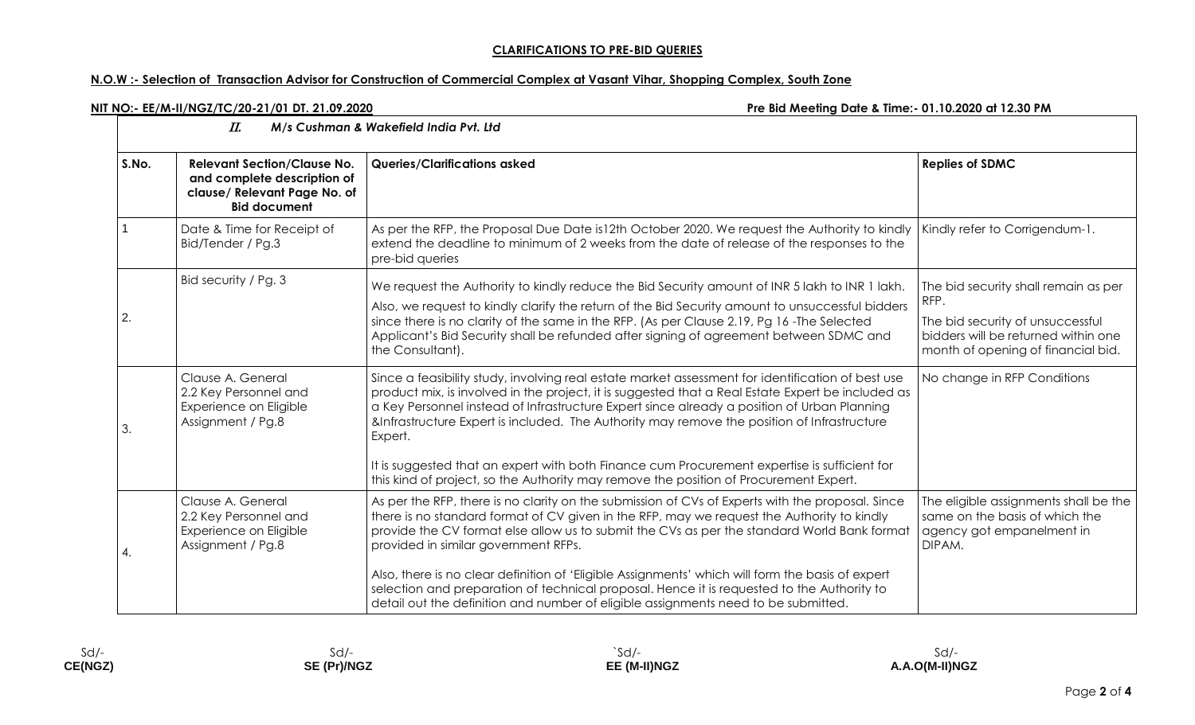# **N.O.W :- Selection of Transaction Advisor for Construction of Commercial Complex at Vasant Vihar, Shopping Complex, South Zone**

**NIT NO:- EE/M-II/NGZ/TC/20-21/01 DT. 21.09.2020 Pre Bid Meeting Date & Time:- 01.10.2020 at 12.30 PM**

| M/s Cushman & Wakefield India Pvt. Ltd<br>П. |                                                                                                                          |                                                                                                                                                                                                                                                                                                                                                                                                                                                                                                                                                                                                                               |                                                                                                                                                               |  |
|----------------------------------------------|--------------------------------------------------------------------------------------------------------------------------|-------------------------------------------------------------------------------------------------------------------------------------------------------------------------------------------------------------------------------------------------------------------------------------------------------------------------------------------------------------------------------------------------------------------------------------------------------------------------------------------------------------------------------------------------------------------------------------------------------------------------------|---------------------------------------------------------------------------------------------------------------------------------------------------------------|--|
| S.No.                                        | <b>Relevant Section/Clause No.</b><br>and complete description of<br>clause/ Relevant Page No. of<br><b>Bid document</b> | <b>Queries/Clarifications asked</b>                                                                                                                                                                                                                                                                                                                                                                                                                                                                                                                                                                                           | <b>Replies of SDMC</b>                                                                                                                                        |  |
|                                              | Date & Time for Receipt of<br>Bid/Tender / Pg.3                                                                          | As per the RFP, the Proposal Due Date is 12th October 2020. We request the Authority to kindly<br>extend the deadline to minimum of 2 weeks from the date of release of the responses to the<br>pre-bid queries                                                                                                                                                                                                                                                                                                                                                                                                               | Kindly refer to Corrigendum-1.                                                                                                                                |  |
| 2.                                           | Bid security / Pg. 3                                                                                                     | We request the Authority to kindly reduce the Bid Security amount of INR 5 lakh to INR 1 lakh.<br>Also, we request to kindly clarify the return of the Bid Security amount to unsuccessful bidders<br>since there is no clarity of the same in the RFP. (As per Clause 2.19, Pg 16 - The Selected<br>Applicant's Bid Security shall be refunded after signing of agreement between SDMC and<br>the Consultant).                                                                                                                                                                                                               | The bid security shall remain as per<br>RFP.<br>The bid security of unsuccessful<br>bidders will be returned within one<br>month of opening of financial bid. |  |
| 3.                                           | Clause A. General<br>2.2 Key Personnel and<br>Experience on Eligible<br>Assignment / Pg.8                                | Since a feasibility study, involving real estate market assessment for identification of best use<br>product mix, is involved in the project, it is suggested that a Real Estate Expert be included as<br>a Key Personnel instead of Infrastructure Expert since already a position of Urban Planning<br>&Infrastructure Expert is included. The Authority may remove the position of Infrastructure<br>Expert.<br>It is suggested that an expert with both Finance cum Procurement expertise is sufficient for<br>this kind of project, so the Authority may remove the position of Procurement Expert.                      | No change in RFP Conditions                                                                                                                                   |  |
| 4.                                           | Clause A. General<br>2.2 Key Personnel and<br>Experience on Eligible<br>Assignment / Pg.8                                | As per the RFP, there is no clarity on the submission of CVs of Experts with the proposal. Since<br>there is no standard format of CV given in the RFP, may we request the Authority to kindly<br>provide the CV format else allow us to submit the CVs as per the standard World Bank format<br>provided in similar government RFPs.<br>Also, there is no clear definition of 'Eligible Assignments' which will form the basis of expert<br>selection and preparation of technical proposal. Hence it is requested to the Authority to<br>detail out the definition and number of eligible assignments need to be submitted. | The eligible assignments shall be the<br>same on the basis of which the<br>agency got empanelment in<br>DIPAM.                                                |  |

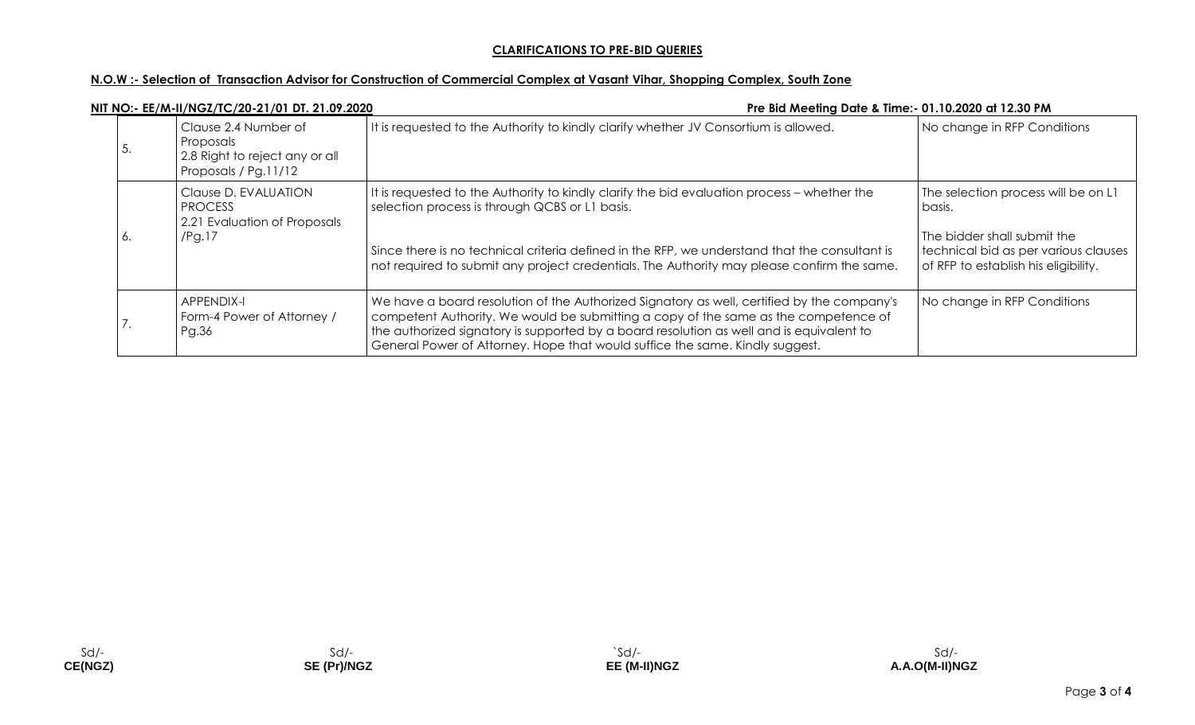# **N.O.W :- Selection of Transaction Advisor for Construction of Commercial Complex at Vasant Vihar, Shopping Complex, South Zone**

|               | NIT NO:- EE/M-II/NGZ/TC/20-21/01 DT. 21.09.2020                                             | Pre Bid Meeting Date & Time:- 01.10.2020 at 12.30 PM                                                                                                                                                                                                                                                                                                          |                                                                                                                                                              |
|---------------|---------------------------------------------------------------------------------------------|---------------------------------------------------------------------------------------------------------------------------------------------------------------------------------------------------------------------------------------------------------------------------------------------------------------------------------------------------------------|--------------------------------------------------------------------------------------------------------------------------------------------------------------|
| э.            | Clause 2.4 Number of<br>Proposals<br>2.8 Right to reject any or all<br>Proposals / Pg.11/12 | It is requested to the Authority to kindly clarify whether JV Consortium is allowed.                                                                                                                                                                                                                                                                          | No change in RFP Conditions                                                                                                                                  |
| 0.            | Clause D. EVALUATION<br><b>PROCESS</b><br>2.21 Evaluation of Proposals<br>$/$ Pg.17         | It is requested to the Authority to kindly clarify the bid evaluation process – whether the<br>selection process is through QCBS or L1 basis.<br>Since there is no technical criteria defined in the RFP, we understand that the consultant is<br>not required to submit any project credentials. The Authority may please confirm the same.                  | The selection process will be on L1<br>basis.<br>The bidder shall submit the<br>technical bid as per various clauses<br>of RFP to establish his eligibility. |
| $\prime\cdot$ | <b>APPENDIX-I</b><br>Form-4 Power of Attorney /<br>Pg.36                                    | We have a board resolution of the Authorized Signatory as well, certified by the company's<br>competent Authority. We would be submitting a copy of the same as the competence of<br>the authorized signatory is supported by a board resolution as well and is equivalent to<br>General Power of Attorney. Hope that would suffice the same. Kindly suggest. | No change in RFP Conditions                                                                                                                                  |